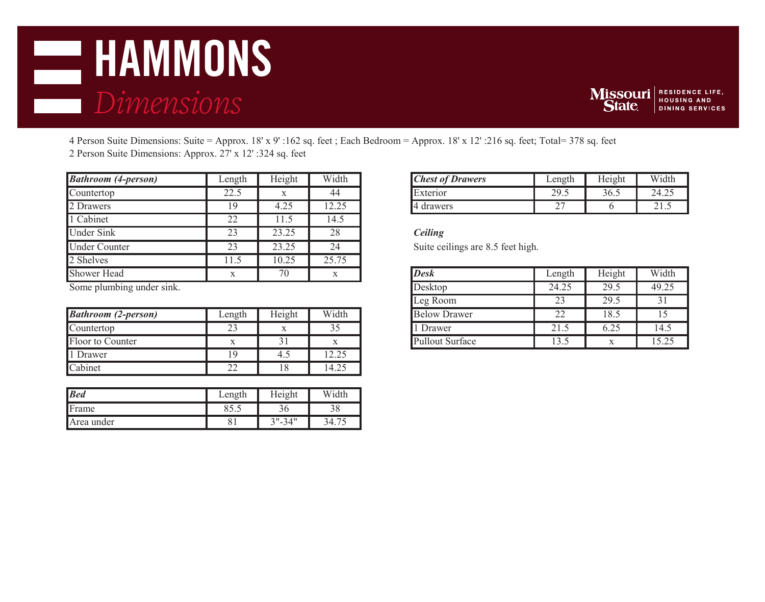# **DEPARTMENT OF RESIDENT OF RESIDENCE LIFE, AND AND LIFE SERVICES** *Dimensions*



4 Person Suite Dimensions: Suite = Approx. 18' x 9' :162 sq. feet ; Each Bedroom = Approx. 18' x 12' :216 sq. feet; Total= 378 sq. feet 2 Person Suite Dimensions: Approx. 27' x 12' :324 sq. feet

| <b>Bathroom (4-person)</b> | Length | Height | Width | <b>Chest of Drawers</b>           | Length | Height | Width |  |
|----------------------------|--------|--------|-------|-----------------------------------|--------|--------|-------|--|
| Countertop                 | 22.5   |        | 44    | Exterior                          | 29.5   | 36.5   | 24.25 |  |
| 2 Drawers                  | 19     | 4.25   | 12.25 | <b>Ⅰ</b> 4 drawers                | 27     |        | 21.5  |  |
| 1 Cabinet                  | 22     | 11.5   | 14.5  |                                   |        |        |       |  |
| <b>Under Sink</b>          | 23     | 23.25  | 28    | Ceiling                           |        |        |       |  |
| <b>Under Counter</b>       | 23     | 23.25  | 24    | Suite ceilings are 8.5 feet high. |        |        |       |  |
| 2 Shelves                  | .1.5   | 10.25  | 25.75 |                                   |        |        |       |  |
| <b>Shower Head</b>         | X      | 70     |       | <b>Desk</b>                       | Length | Height | Width |  |
|                            |        |        |       |                                   |        |        |       |  |

Some plumbing under sink.

| <b>Bathroom (2-person)</b> | Length              | Height       | Width                            |
|----------------------------|---------------------|--------------|----------------------------------|
| Countertop                 | $\sim$<br>ت ک       |              | ر. ر                             |
| Floor to Counter           | л                   | $\sim$<br>┙┚ |                                  |
| Drawer                     |                     | 4.1          | $\cap$ $\cap$ $\subset$<br>14.4J |
| Cabinet                    | $\mathcal{D}$<br>∠∠ | 18           | 14.25                            |

| <b>Bed</b> | Length | Height       | Width |
|------------|--------|--------------|-------|
| Frame      | ບຸດ    |              | υo    |
| Area under |        | 2 1 II<br>つり |       |

| <b>Chest of Drawers</b> | Length | Height | Width |
|-------------------------|--------|--------|-------|
| Exterior                |        |        |       |
| drawers                 |        |        |       |

| <b>Desk</b>            | Length | Height | Width |
|------------------------|--------|--------|-------|
| Desktop                | 24.25  | 29.5   | 49.25 |
| Leg Room               | 23     | 29.5   |       |
| <b>Below Drawer</b>    | 22     | 18.5   | 15    |
| 1 Drawer               | 21.5   | 6.25   | 14.5  |
| <b>Pullout Surface</b> | 13.5   |        | 15.25 |